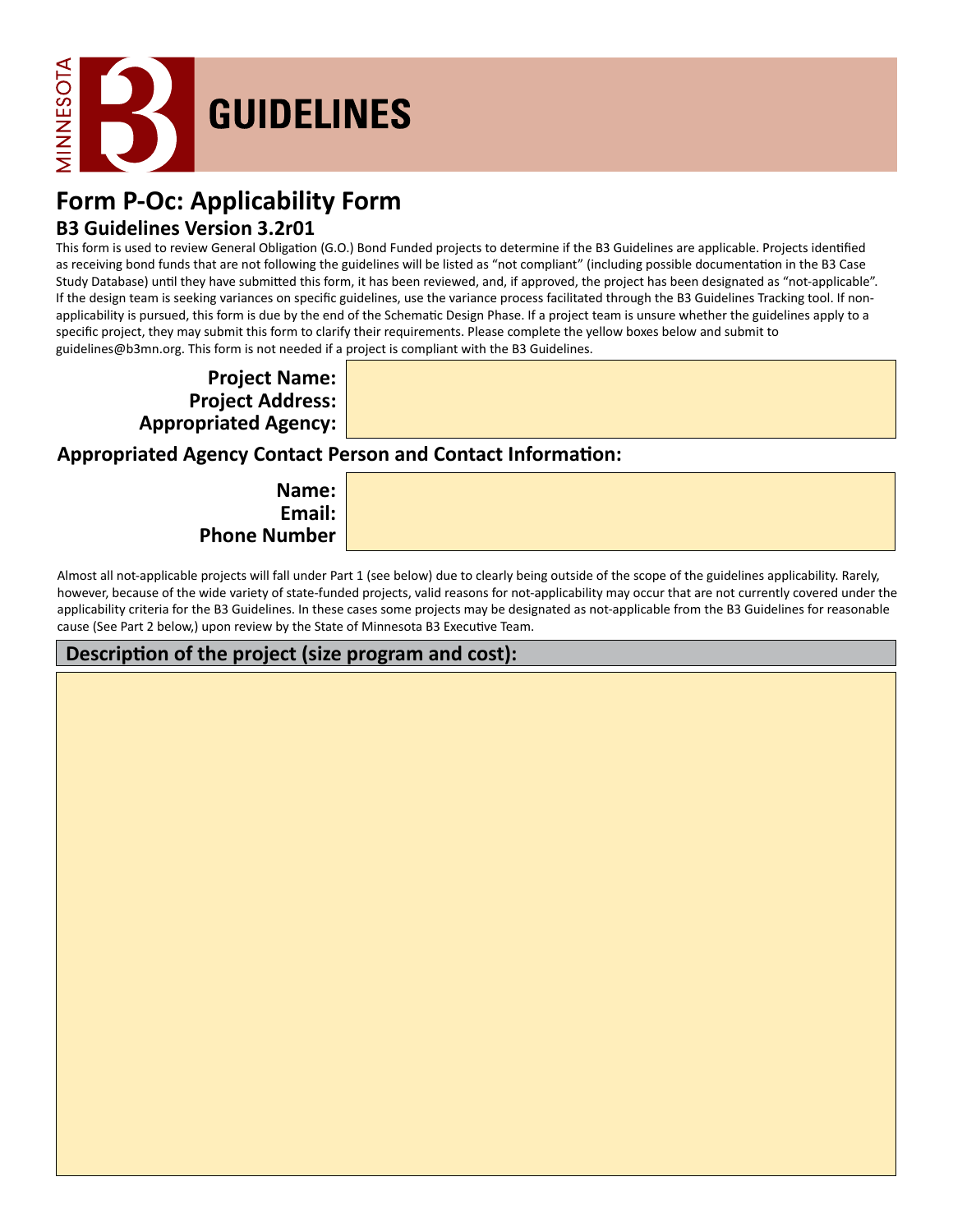

# **Form P-Oc: Applicability Form**

## **B3 Guidelines Version 3.2r01**

This form is used to review General Obligation (G.O.) Bond Funded projects to determine if the B3 Guidelines are applicable. Projects identified as receiving bond funds that are not following the guidelines will be listed as "not compliant" (including possible documentation in the B3 Case Study Database) until they have submitted this form, it has been reviewed, and, if approved, the project has been designated as "not-applicable". If the design team is seeking variances on specific guidelines, use the variance process facilitated through the B3 Guidelines Tracking tool. If nonapplicability is pursued, this form is due by the end of the Schematic Design Phase. If a project team is unsure whether the guidelines apply to a specific project, they may submit this form to clarify their requirements. Please complete the yellow boxes below and submit to guidelines@b3mn.org. This form is not needed if a project is compliant with the B3 Guidelines.

**Project Name: Project Address: Appropriated Agency:**

## **Appropriated Agency Contact Person and Contact Information:**

**Name: Email: Phone Number**

Almost all not-applicable projects will fall under Part 1 (see below) due to clearly being outside of the scope of the guidelines applicability. Rarely, however, because of the wide variety of state-funded projects, valid reasons for not-applicability may occur that are not currently covered under the applicability criteria for the B3 Guidelines. In these cases some projects may be designated as not-applicable from the B3 Guidelines for reasonable cause (See Part 2 below,) upon review by the State of Minnesota B3 Executive Team.

# **Description of the project (size program and cost):**